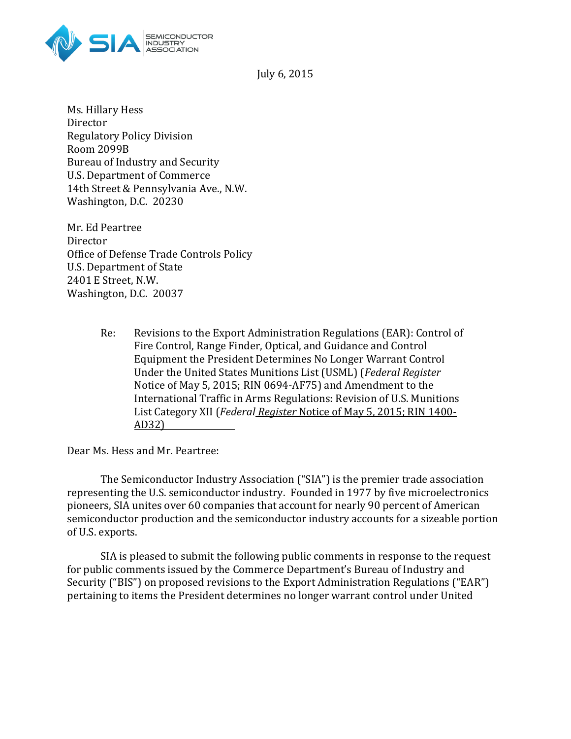

July 6, 2015

Ms. Hillary Hess Director Regulatory Policy Division Room 2099B Bureau of Industry and Security U.S. Department of Commerce 14th Street & Pennsylvania Ave., N.W. Washington, D.C. 20230

Mr. Ed Peartree Director Office of Defense Trade Controls Policy U.S. Department of State 2401 E Street, N.W. Washington, D.C. 20037

> Re: Revisions to the Export Administration Regulations (EAR): Control of Fire Control, Range Finder, Optical, and Guidance and Control Equipment the President Determines No Longer Warrant Control Under the United States Munitions List (USML) (*Federal Register* Notice of May 5, 2015; RIN 0694-AF75) and Amendment to the International Traffic in Arms Regulations: Revision of U.S. Munitions List Category XII (*Federal Register* Notice of May 5, 2015; RIN 1400- AD32)

Dear Ms. Hess and Mr. Peartree:

The Semiconductor Industry Association ("SIA") is the premier trade association representing the U.S. semiconductor industry. Founded in 1977 by five microelectronics pioneers, SIA unites over 60 companies that account for nearly 90 percent of American semiconductor production and the semiconductor industry accounts for a sizeable portion of U.S. exports.

SIA is pleased to submit the following public comments in response to the request for public comments issued by the Commerce Department's Bureau of Industry and Security ("BIS") on proposed revisions to the Export Administration Regulations ("EAR") pertaining to items the President determines no longer warrant control under United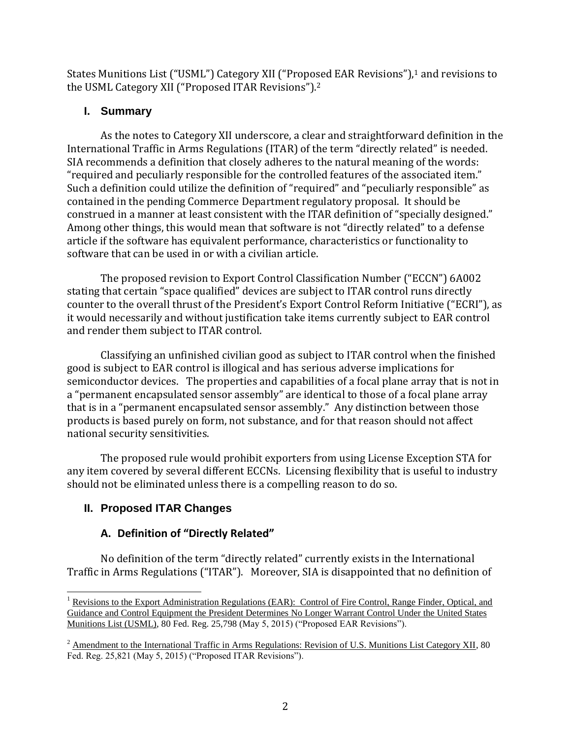States Munitions List ("USML") Category XII ("Proposed EAR Revisions"),<sup>1</sup> and revisions to the USML Category XII ("Proposed ITAR Revisions").<sup>2</sup>

## **I. Summary**

As the notes to Category XII underscore, a clear and straightforward definition in the International Traffic in Arms Regulations (ITAR) of the term "directly related" is needed. SIA recommends a definition that closely adheres to the natural meaning of the words: "required and peculiarly responsible for the controlled features of the associated item." Such a definition could utilize the definition of "required" and "peculiarly responsible" as contained in the pending Commerce Department regulatory proposal. It should be construed in a manner at least consistent with the ITAR definition of "specially designed." Among other things, this would mean that software is not "directly related" to a defense article if the software has equivalent performance, characteristics or functionality to software that can be used in or with a civilian article.

The proposed revision to Export Control Classification Number ("ECCN") 6A002 stating that certain "space qualified" devices are subject to ITAR control runs directly counter to the overall thrust of the President's Export Control Reform Initiative ("ECRI"), as it would necessarily and without justification take items currently subject to EAR control and render them subject to ITAR control.

Classifying an unfinished civilian good as subject to ITAR control when the finished good is subject to EAR control is illogical and has serious adverse implications for semiconductor devices. The properties and capabilities of a focal plane array that is not in a "permanent encapsulated sensor assembly" are identical to those of a focal plane array that is in a "permanent encapsulated sensor assembly." Any distinction between those products is based purely on form, not substance, and for that reason should not affect national security sensitivities.

The proposed rule would prohibit exporters from using License Exception STA for any item covered by several different ECCNs. Licensing flexibility that is useful to industry should not be eliminated unless there is a compelling reason to do so.

# **II. Proposed ITAR Changes**

# **A. Definition of "Directly Related"**

No definition of the term "directly related" currently exists in the International Traffic in Arms Regulations ("ITAR"). Moreover, SIA is disappointed that no definition of

 $\overline{\phantom{a}}$  $1$  Revisions to the Export Administration Regulations (EAR): Control of Fire Control, Range Finder, Optical, and Guidance and Control Equipment the President Determines No Longer Warrant Control Under the United States Munitions List (USML), 80 Fed. Reg. 25,798 (May 5, 2015) ("Proposed EAR Revisions").

<sup>&</sup>lt;sup>2</sup> Amendment to the International Traffic in Arms Regulations: Revision of U.S. Munitions List Category XII, 80 Fed. Reg. 25,821 (May 5, 2015) ("Proposed ITAR Revisions").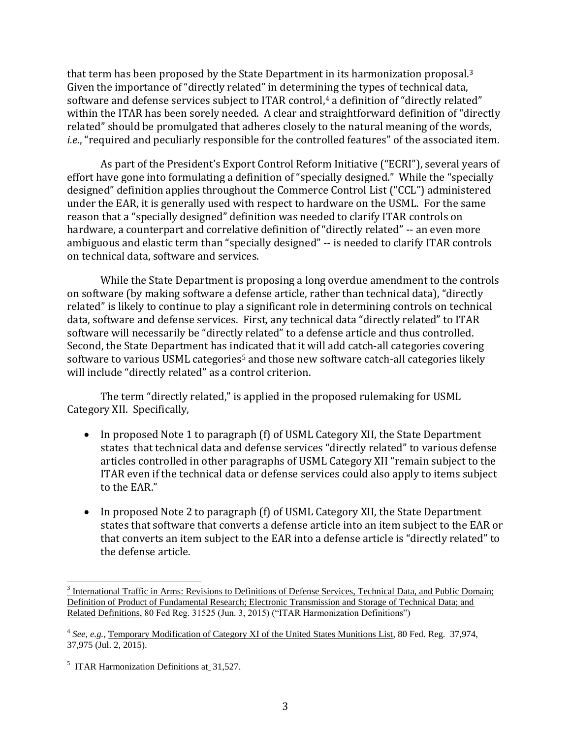that term has been proposed by the State Department in its harmonization proposal.<sup>3</sup> Given the importance of "directly related" in determining the types of technical data, software and defense services subject to ITAR control,<sup>4</sup> a definition of "directly related" within the ITAR has been sorely needed. A clear and straightforward definition of "directly related" should be promulgated that adheres closely to the natural meaning of the words, *i.e.*, "required and peculiarly responsible for the controlled features" of the associated item.

As part of the President's Export Control Reform Initiative ("ECRI"), several years of effort have gone into formulating a definition of "specially designed." While the "specially designed" definition applies throughout the Commerce Control List ("CCL") administered under the EAR, it is generally used with respect to hardware on the USML. For the same reason that a "specially designed" definition was needed to clarify ITAR controls on hardware, a counterpart and correlative definition of "directly related" -- an even more ambiguous and elastic term than "specially designed" -- is needed to clarify ITAR controls on technical data, software and services.

While the State Department is proposing a long overdue amendment to the controls on software (by making software a defense article, rather than technical data), "directly related" is likely to continue to play a significant role in determining controls on technical data, software and defense services. First, any technical data "directly related" to ITAR software will necessarily be "directly related" to a defense article and thus controlled. Second, the State Department has indicated that it will add catch-all categories covering software to various USML categories<sup>5</sup> and those new software catch-all categories likely will include "directly related" as a control criterion.

The term "directly related," is applied in the proposed rulemaking for USML Category XII. Specifically,

- In proposed Note 1 to paragraph (f) of USML Category XII, the State Department states that technical data and defense services "directly related" to various defense articles controlled in other paragraphs of USML Category XII "remain subject to the ITAR even if the technical data or defense services could also apply to items subject to the EAR."
- In proposed Note 2 to paragraph (f) of USML Category XII, the State Department states that software that converts a defense article into an item subject to the EAR or that converts an item subject to the EAR into a defense article is "directly related" to the defense article.

l

<sup>&</sup>lt;sup>3</sup> International Traffic in Arms: Revisions to Definitions of Defense Services, Technical Data, and Public Domain; Definition of Product of Fundamental Research; Electronic Transmission and Storage of Technical Data; and Related Definitions, 80 Fed Reg. 31525 (Jun. 3, 2015) ("ITAR Harmonization Definitions")

<sup>&</sup>lt;sup>4</sup> See, e.g., Temporary Modification of Category XI of the United States Munitions List, 80 Fed. Reg. 37,974, 37,975 (Jul. 2, 2015).

<sup>&</sup>lt;sup>5</sup> ITAR Harmonization Definitions at 31,527.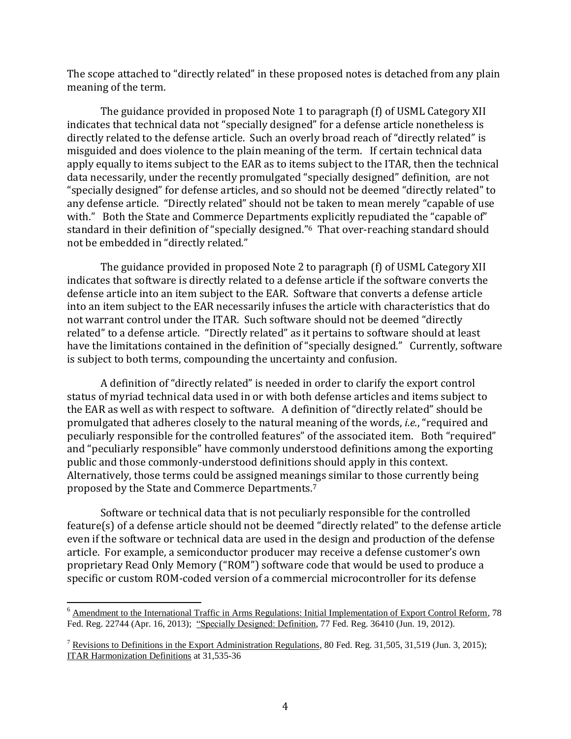The scope attached to "directly related" in these proposed notes is detached from any plain meaning of the term.

The guidance provided in proposed Note 1 to paragraph (f) of USML Category XII indicates that technical data not "specially designed" for a defense article nonetheless is directly related to the defense article. Such an overly broad reach of "directly related" is misguided and does violence to the plain meaning of the term. If certain technical data apply equally to items subject to the EAR as to items subject to the ITAR, then the technical data necessarily, under the recently promulgated "specially designed" definition, are not "specially designed" for defense articles, and so should not be deemed "directly related" to any defense article. "Directly related" should not be taken to mean merely "capable of use with." Both the State and Commerce Departments explicitly repudiated the "capable of" standard in their definition of "specially designed."6 That over-reaching standard should not be embedded in "directly related."

The guidance provided in proposed Note 2 to paragraph (f) of USML Category XII indicates that software is directly related to a defense article if the software converts the defense article into an item subject to the EAR. Software that converts a defense article into an item subject to the EAR necessarily infuses the article with characteristics that do not warrant control under the ITAR. Such software should not be deemed "directly related" to a defense article. "Directly related" as it pertains to software should at least have the limitations contained in the definition of "specially designed." Currently, software is subject to both terms, compounding the uncertainty and confusion.

A definition of "directly related" is needed in order to clarify the export control status of myriad technical data used in or with both defense articles and items subject to the EAR as well as with respect to software. A definition of "directly related" should be promulgated that adheres closely to the natural meaning of the words, *i.e.*, "required and peculiarly responsible for the controlled features" of the associated item. Both "required" and "peculiarly responsible" have commonly understood definitions among the exporting public and those commonly-understood definitions should apply in this context. Alternatively, those terms could be assigned meanings similar to those currently being proposed by the State and Commerce Departments.<sup>7</sup>

Software or technical data that is not peculiarly responsible for the controlled feature(s) of a defense article should not be deemed "directly related" to the defense article even if the software or technical data are used in the design and production of the defense article. For example, a semiconductor producer may receive a defense customer's own proprietary Read Only Memory ("ROM") software code that would be used to produce a specific or custom ROM-coded version of a commercial microcontroller for its defense

 $\overline{\phantom{a}}$ 

<sup>&</sup>lt;sup>6</sup> Amendment to the International Traffic in Arms Regulations: Initial Implementation of Export Control Reform, 78 Fed. Reg. 22744 (Apr. 16, 2013); "Specially Designed: Definition, 77 Fed. Reg. 36410 (Jun. 19, 2012).

<sup>&</sup>lt;sup>7</sup> Revisions to Definitions in the Export Administration Regulations, 80 Fed. Reg. 31,505, 31,519 (Jun. 3, 2015); ITAR Harmonization Definitions at 31,535-36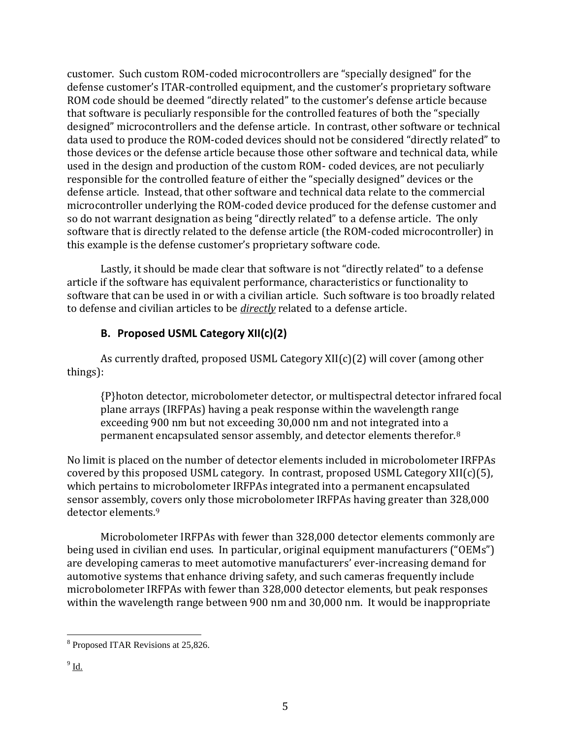customer. Such custom ROM-coded microcontrollers are "specially designed" for the defense customer's ITAR-controlled equipment, and the customer's proprietary software ROM code should be deemed "directly related" to the customer's defense article because that software is peculiarly responsible for the controlled features of both the "specially designed" microcontrollers and the defense article. In contrast, other software or technical data used to produce the ROM-coded devices should not be considered "directly related" to those devices or the defense article because those other software and technical data, while used in the design and production of the custom ROM- coded devices, are not peculiarly responsible for the controlled feature of either the "specially designed" devices or the defense article. Instead, that other software and technical data relate to the commercial microcontroller underlying the ROM-coded device produced for the defense customer and so do not warrant designation as being "directly related" to a defense article. The only software that is directly related to the defense article (the ROM-coded microcontroller) in this example is the defense customer's proprietary software code.

Lastly, it should be made clear that software is not "directly related" to a defense article if the software has equivalent performance, characteristics or functionality to software that can be used in or with a civilian article. Such software is too broadly related to defense and civilian articles to be *directly* related to a defense article.

## **B. Proposed USML Category XII(c)(2)**

As currently drafted, proposed USML Category XII(c)(2) will cover (among other things):

{P}hoton detector, microbolometer detector, or multispectral detector infrared focal plane arrays (IRFPAs) having a peak response within the wavelength range exceeding 900 nm but not exceeding 30,000 nm and not integrated into a permanent encapsulated sensor assembly, and detector elements therefor.<sup>8</sup>

No limit is placed on the number of detector elements included in microbolometer IRFPAs covered by this proposed USML category. In contrast, proposed USML Category XII(c)(5), which pertains to microbolometer IRFPAs integrated into a permanent encapsulated sensor assembly, covers only those microbolometer IRFPAs having greater than 328,000 detector elements.<sup>9</sup>

Microbolometer IRFPAs with fewer than 328,000 detector elements commonly are being used in civilian end uses. In particular, original equipment manufacturers ("OEMs") are developing cameras to meet automotive manufacturers' ever-increasing demand for automotive systems that enhance driving safety, and such cameras frequently include microbolometer IRFPAs with fewer than 328,000 detector elements, but peak responses within the wavelength range between 900 nm and 30,000 nm. It would be inappropriate

 $\overline{\phantom{a}}$ <sup>8</sup> Proposed ITAR Revisions at 25,826.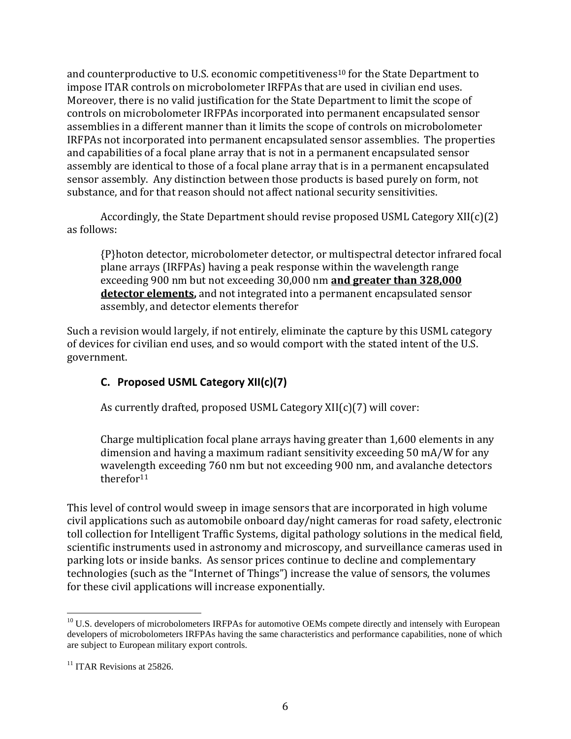and counterproductive to U.S. economic competitiveness<sup>10</sup> for the State Department to impose ITAR controls on microbolometer IRFPAs that are used in civilian end uses. Moreover, there is no valid justification for the State Department to limit the scope of controls on microbolometer IRFPAs incorporated into permanent encapsulated sensor assemblies in a different manner than it limits the scope of controls on microbolometer IRFPAs not incorporated into permanent encapsulated sensor assemblies. The properties and capabilities of a focal plane array that is not in a permanent encapsulated sensor assembly are identical to those of a focal plane array that is in a permanent encapsulated sensor assembly. Any distinction between those products is based purely on form, not substance, and for that reason should not affect national security sensitivities.

Accordingly, the State Department should revise proposed USML Category XII(c)(2) as follows:

{P}hoton detector, microbolometer detector, or multispectral detector infrared focal plane arrays (IRFPAs) having a peak response within the wavelength range exceeding 900 nm but not exceeding 30,000 nm **and greater than 328,000 detector elements,** and not integrated into a permanent encapsulated sensor assembly, and detector elements therefor

Such a revision would largely, if not entirely, eliminate the capture by this USML category of devices for civilian end uses, and so would comport with the stated intent of the U.S. government.

# **C. Proposed USML Category XII(c)(7)**

As currently drafted, proposed USML Category XII(c)(7) will cover:

Charge multiplication focal plane arrays having greater than 1,600 elements in any dimension and having a maximum radiant sensitivity exceeding 50 mA/W for any wavelength exceeding 760 nm but not exceeding 900 nm, and avalanche detectors therefor<sup>11</sup>

This level of control would sweep in image sensors that are incorporated in high volume civil applications such as automobile onboard day/night cameras for road safety, electronic toll collection for Intelligent Traffic Systems, digital pathology solutions in the medical field, scientific instruments used in astronomy and microscopy, and surveillance cameras used in parking lots or inside banks. As sensor prices continue to decline and complementary technologies (such as the "Internet of Things") increase the value of sensors, the volumes for these civil applications will increase exponentially.

 $\overline{\phantom{a}}$ <sup>10</sup> U.S. developers of microbolometers IRFPAs for automotive OEMs compete directly and intensely with European developers of microbolometers IRFPAs having the same characteristics and performance capabilities, none of which are subject to European military export controls.

 $11$  ITAR Revisions at 25826.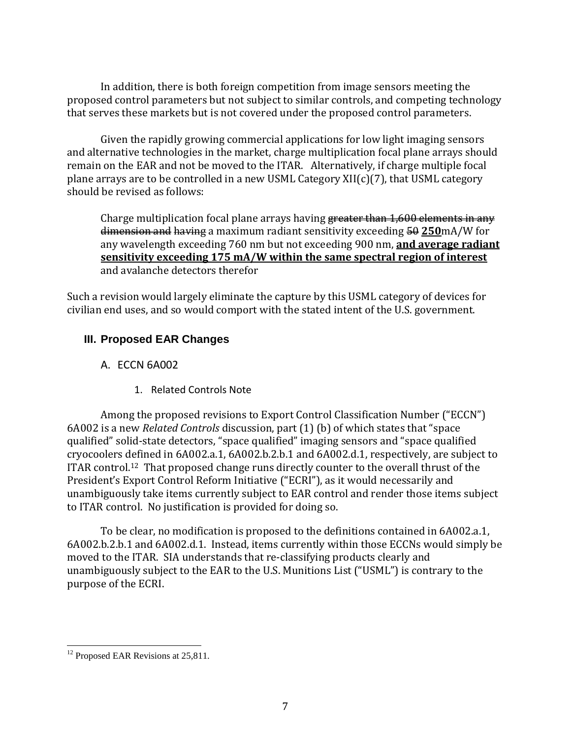In addition, there is both foreign competition from image sensors meeting the proposed control parameters but not subject to similar controls, and competing technology that serves these markets but is not covered under the proposed control parameters.

Given the rapidly growing commercial applications for low light imaging sensors and alternative technologies in the market, charge multiplication focal plane arrays should remain on the EAR and not be moved to the ITAR. Alternatively, if charge multiple focal plane arrays are to be controlled in a new USML Category  $XII(c)(7)$ , that USML category should be revised as follows:

Charge multiplication focal plane arrays having greater than 1,600 elements in any dimension and having a maximum radiant sensitivity exceeding 50 250mA/W for any wavelength exceeding 760 nm but not exceeding 900 nm, **and average radiant sensitivity exceeding 175 mA/W within the same spectral region of interest** and avalanche detectors therefor

Such a revision would largely eliminate the capture by this USML category of devices for civilian end uses, and so would comport with the stated intent of the U.S. government.

## **III. Proposed EAR Changes**

- A. ECCN 6A002
	- 1. Related Controls Note

Among the proposed revisions to Export Control Classification Number ("ECCN") 6A002 is a new *Related Controls* discussion, part (1) (b) of which states that "space qualified" solid-state detectors, "space qualified" imaging sensors and "space qualified cryocoolers defined in 6A002.a.1, 6A002.b.2.b.1 and 6A002.d.1, respectively, are subject to ITAR control.12 That proposed change runs directly counter to the overall thrust of the President's Export Control Reform Initiative ("ECRI"), as it would necessarily and unambiguously take items currently subject to EAR control and render those items subject to ITAR control. No justification is provided for doing so.

To be clear, no modification is proposed to the definitions contained in 6A002.a.1, 6A002.b.2.b.1 and 6A002.d.1. Instead, items currently within those ECCNs would simply be moved to the ITAR. SIA understands that re-classifying products clearly and unambiguously subject to the EAR to the U.S. Munitions List ("USML") is contrary to the purpose of the ECRI.

l <sup>12</sup> Proposed EAR Revisions at 25,811.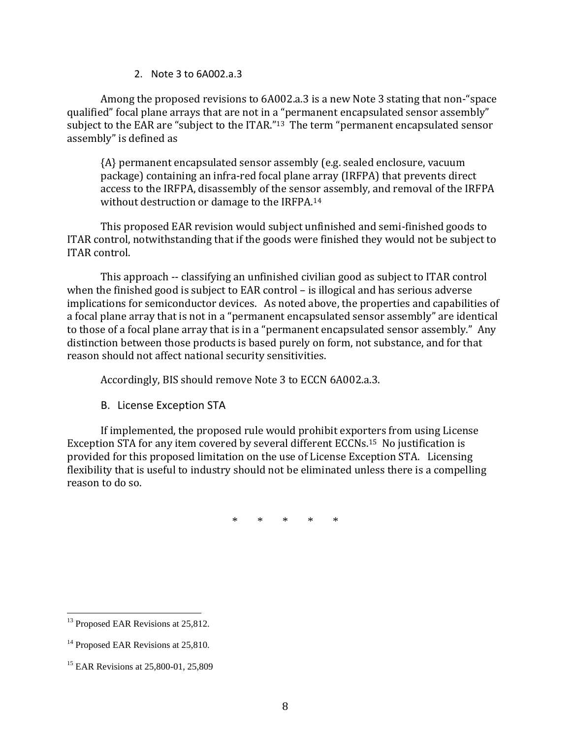### 2. Note 3 to 6A002.a.3

Among the proposed revisions to 6A002.a.3 is a new Note 3 stating that non-"space qualified" focal plane arrays that are not in a "permanent encapsulated sensor assembly" subject to the EAR are "subject to the ITAR."<sup>13</sup> The term "permanent encapsulated sensor assembly" is defined as

{A} permanent encapsulated sensor assembly (e.g. sealed enclosure, vacuum package) containing an infra-red focal plane array (IRFPA) that prevents direct access to the IRFPA, disassembly of the sensor assembly, and removal of the IRFPA without destruction or damage to the IRFPA.<sup>14</sup>

This proposed EAR revision would subject unfinished and semi-finished goods to ITAR control, notwithstanding that if the goods were finished they would not be subject to ITAR control.

This approach -- classifying an unfinished civilian good as subject to ITAR control when the finished good is subject to EAR control – is illogical and has serious adverse implications for semiconductor devices. As noted above, the properties and capabilities of a focal plane array that is not in a "permanent encapsulated sensor assembly" are identical to those of a focal plane array that is in a "permanent encapsulated sensor assembly." Any distinction between those products is based purely on form, not substance, and for that reason should not affect national security sensitivities.

Accordingly, BIS should remove Note 3 to ECCN 6A002.a.3.

B. License Exception STA

If implemented, the proposed rule would prohibit exporters from using License Exception STA for any item covered by several different ECCNs.15 No justification is provided for this proposed limitation on the use of License Exception STA. Licensing flexibility that is useful to industry should not be eliminated unless there is a compelling reason to do so.

\* \* \* \* \*

 $\overline{\phantom{a}}$ 

<sup>&</sup>lt;sup>13</sup> Proposed EAR Revisions at 25,812.

<sup>&</sup>lt;sup>14</sup> Proposed EAR Revisions at 25,810.

<sup>&</sup>lt;sup>15</sup> EAR Revisions at 25,800-01, 25,809